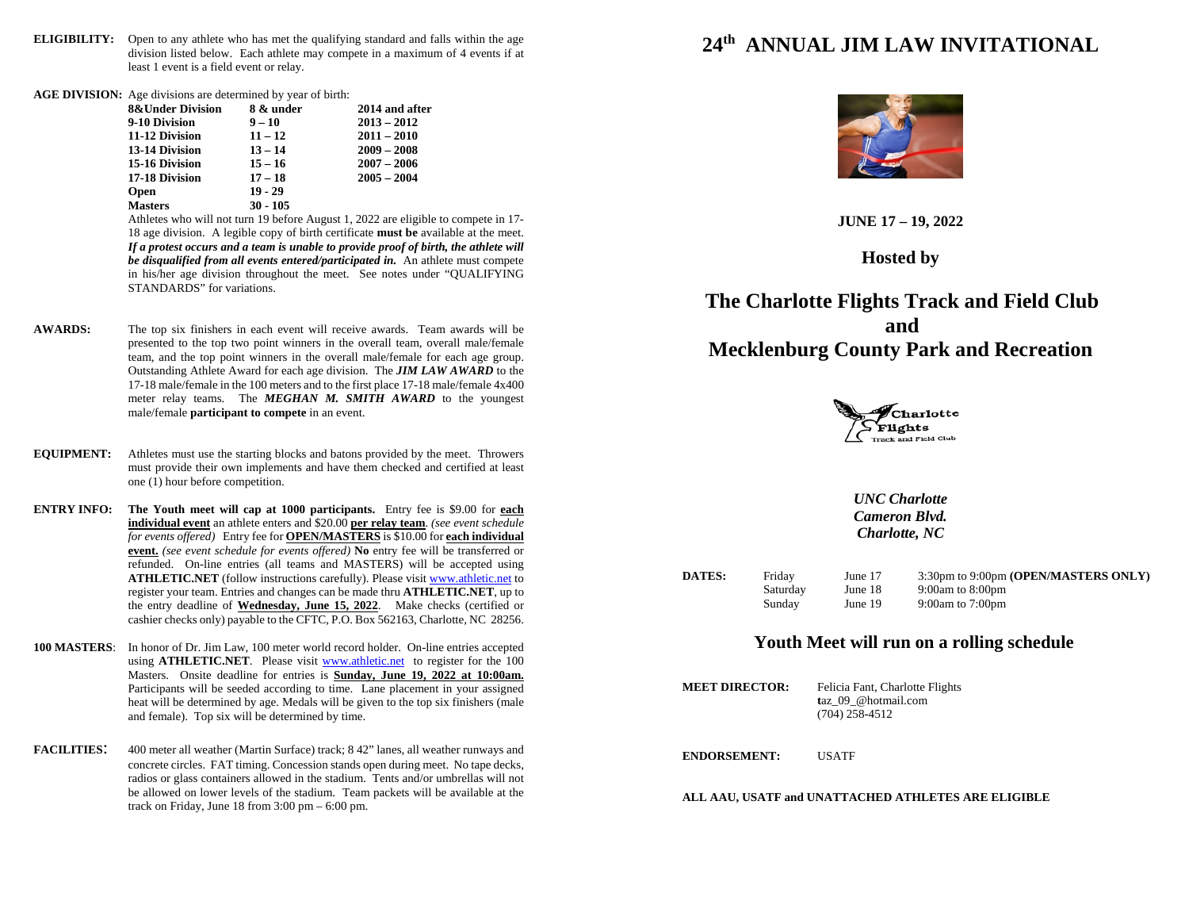- **ELIGIBILITY:** Open to any athlete who has met the qualifying standard and falls within the age division listed below. Each athlete may compete in a maximum of 4 events if at least 1 event is a field event or relay.
- **AGE DIVISION:** Age divisions are determined by year of birth:

| <b>8&amp;Under Division</b> | 8 & under  | 2014 and after |
|-----------------------------|------------|----------------|
| 9-10 Division               | $9 - 10$   | $2013 - 2012$  |
| 11-12 Division              | $11 - 12$  | $2011 - 2010$  |
| 13-14 Division              | $13 - 14$  | $2009 - 2008$  |
| 15-16 Division              | $15 - 16$  | $2007 - 2006$  |
| 17-18 Division              | $17 - 18$  | $2005 - 2004$  |
| <b>Open</b>                 | $19 - 29$  |                |
| <b>Masters</b>              | $30 - 105$ |                |

Athletes who will not turn 19 before August 1, 2022 are eligible to compete in 17- 18 age division. A legible copy of birth certificate **must be** available at the meet. *If a protest occurs and a team is unable to provide proof of birth, the athlete will be disqualified from all events entered/participated in.* An athlete must compete in his/her age division throughout the meet. See notes under "QUALIFYING STANDARDS" for variations.

- **AWARDS:** The top six finishers in each event will receive awards. Team awards will be presented to the top two point winners in the overall team, overall male/female team, and the top point winners in the overall male/female for each age group. Outstanding Athlete Award for each age division. The *JIM LAW AWARD* to the 17-18 male/female in the 100 meters and to the first place 17-18 male/female 4x400 meter relay teams. The *MEGHAN M. SMITH AWARD* to the youngest male/female **participant to compete** in an event.
- **EQUIPMENT:** Athletes must use the starting blocks and batons provided by the meet. Throwers must provide their own implements and have them checked and certified at least one (1) hour before competition.
- **ENTRY INFO: The Youth meet will cap at 1000 participants.** Entry fee is \$9.00 for **each individual event** an athlete enters and \$20.00 **per relay team**. *(see event schedule for events offered)* Entry fee for **OPEN/MASTERS** is \$10.00 for **each individual event.** *(see event schedule for events offered)* **No** entry fee will be transferred or refunded. On-line entries (all teams and MASTERS) will be accepted using **ATHLETIC.NET** (follow instructions carefully). Please visi[t www.athletic.net](http://www.athletic.net/) to register your team. Entries and changes can be made thru **ATHLETIC.NET**, up to the entry deadline of **Wednesday, June 15, 2022**. Make checks (certified or cashier checks only) payable to the CFTC, P.O. Box 562163, Charlotte, NC 28256.
- **100 MASTERS**: In honor of Dr. Jim Law, 100 meter world record holder. On-line entries accepted using **ATHLETIC.NET**. Please visit [www.athletic.net](http://www.athletic.net/) to register for the 100 Masters. Onsite deadline for entries is **Sunday, June 19, 2022 at 10:00am.** Participants will be seeded according to time. Lane placement in your assigned heat will be determined by age. Medals will be given to the top six finishers (male and female). Top six will be determined by time.
- **FACILITIES**: 400 meter all weather (Martin Surface) track; 8 42" lanes, all weather runways and concrete circles. FAT timing. Concession stands open during meet. No tape decks, radios or glass containers allowed in the stadium. Tents and/or umbrellas will not be allowed on lower levels of the stadium. Team packets will be available at the track on Friday, June 18 from 3:00 pm – 6:00 pm.

## **24th ANNUAL JIM LAW INVITATIONAL**



**JUNE 17 – 19, 2022**

**Hosted by**

**The Charlotte Flights Track and Field Club and Mecklenburg County Park and Recreation**



*UNC Charlotte Cameron Blvd. Charlotte, NC*

**DATES:** Friday June 17 3:30pm to 9:00pm **(OPEN/MASTERS ONLY)** Saturday June 18 9:00am to 8:00pm Sunday June 19 9:00am to 7:00pm

## **Youth Meet will run on a rolling schedule**

**MEET DIRECTOR:** Felicia Fant, Charlotte Flights **t**az\_09\_@hotmail.com (704) 258-4512 **ENDORSEMENT:** USATF

**ALL AAU, USATF and UNATTACHED ATHLETES ARE ELIGIBLE**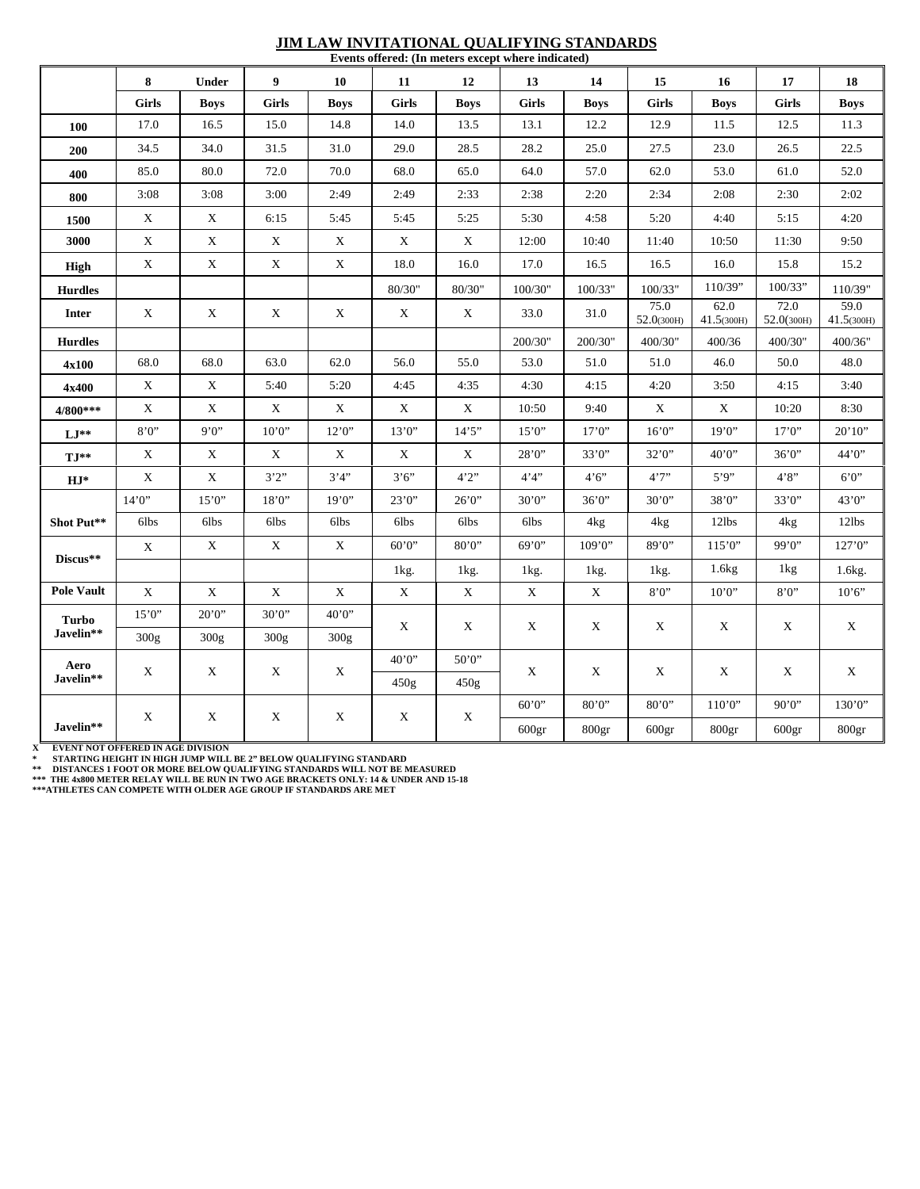#### **JIM LAW INVITATIONAL QUALIFYING STANDARDS Events offered: (In meters except where indicated)**

|                           | 8                         | Under       | 9            | 10                        | 11           | 12          | 13                        | 14                | 15                | 16                | 17                | 18              |
|---------------------------|---------------------------|-------------|--------------|---------------------------|--------------|-------------|---------------------------|-------------------|-------------------|-------------------|-------------------|-----------------|
|                           | <b>Girls</b>              | <b>Boys</b> | <b>Girls</b> | <b>Boys</b>               | <b>Girls</b> | <b>Boys</b> | <b>Girls</b>              | <b>Boys</b>       | <b>Girls</b>      | <b>Boys</b>       | <b>Girls</b>      | <b>Boys</b>     |
| 100                       | 17.0                      | 16.5        | 15.0         | 14.8                      | 14.0         | 13.5        | 13.1                      | 12.2              | 12.9              | 11.5              | 12.5              | 11.3            |
| 200                       | 34.5                      | 34.0        | 31.5         | 31.0                      | 29.0         | 28.5        | 28.2                      | 25.0              | 27.5              | 23.0              | 26.5              | 22.5            |
| 400                       | 85.0                      | 80.0        | 72.0         | 70.0                      | 68.0         | 65.0        | 64.0                      | 57.0              | 62.0              | 53.0              | 61.0              | 52.0            |
| 800                       | 3:08                      | 3:08        | 3:00         | 2:49                      | 2:49         | 2:33        | 2:38                      | 2:20              | 2:34              | 2:08              | 2:30              | 2:02            |
| 1500                      | X                         | X           | 6:15         | 5:45                      | 5:45         | 5:25        | 5:30                      | 4:58              | 5:20              | 4:40              | 5:15              | 4:20            |
| 3000                      | $\mathbf X$               | $\mathbf X$ | $\mathbf X$  | $\boldsymbol{\mathrm{X}}$ | X            | $\mathbf X$ | 12:00                     | 10:40             | 11:40             | 10:50             | 11:30             | 9:50            |
|                           | X                         | X           | X            | X                         | 18.0         | 16.0        | 17.0                      | 16.5              | 16.5              | 16.0              | 15.8              | 15.2            |
| <b>High</b>               |                           |             |              |                           |              |             |                           |                   |                   | 110/39"           | 100/33"           |                 |
| <b>Hurdles</b>            |                           |             |              |                           | 80/30"       | 80/30"      | 100/30"                   | 100/33"           | 100/33"<br>75.0   | 62.0              | 72.0              | 110/39"<br>59.0 |
| <b>Inter</b>              | X                         | X           | X            | X                         | X            | X           | 33.0                      | 31.0              | 52.0(300H)        | 41.5(300H)        | 52.0(300H)        | 41.5(300H)      |
| <b>Hurdles</b>            |                           |             |              |                           |              |             | 200/30"                   | 200/30"           | 400/30"           | 400/36            | 400/30"           | 400/36"         |
| 4x100                     | 68.0                      | 68.0        | 63.0         | 62.0                      | 56.0         | 55.0        | 53.0                      | 51.0              | 51.0              | 46.0              | 50.0              | 48.0            |
| 4x400                     | $\boldsymbol{\mathrm{X}}$ | X           | 5:40         | 5:20                      | 4:45         | 4:35        | 4:30                      | 4:15              | 4:20              | 3:50              | 4:15              | 3:40            |
| 4/800***                  | X                         | $\mathbf X$ | X            | X                         | X            | X           | 10:50                     | 9:40              | X                 | X                 | 10:20             | 8:30            |
| $LI^*$                    | 8'0'                      | 9'0''       | 10'0''       | 12'0''                    | 13'0''       | 14'5''      | 15'0''                    | 17'0''            | 16'0''            | 19'0''            | 17'0''            | 20'10''         |
| $TI**$                    | X                         | X           | X            | X                         | X            | X           | 28'0''                    | 33'0''            | 32'0''            | 40'0''            | 36'0''            | 44'0''          |
| $HJ^*$                    | X                         | X           | 3'2''        | 3'4'                      | 3'6''        | 4'2''       | 4'4''                     | 4'6''             | 4'7''             | 5'9'              | 4'8''             | 6'0''           |
|                           | 14'0''                    | 15'0''      | 18'0''       | 19'0''                    | 23'0''       | 26'0''      | 30'0''                    | 36'0''            | 30'0''            | 38'0''            | 33'0''            | 43'0"           |
| Shot Put**                | 6lbs                      | 6lbs        | 6lbs         | 6lbs                      | 6lbs         | 6lbs        | 6lbs                      | 4 <sub>kg</sub>   | 4 <sub>kg</sub>   | 12lbs             | 4 <sub>kg</sub>   | 12lbs           |
| Discus**                  | X                         | $\mathbf X$ | $\mathbf X$  | X                         | 60'0''       | 80'0''      | 69'0''                    | 109'0"            | 89'0''            | 115'0''           | 99'0''            | 127'0''         |
|                           |                           |             |              |                           | 1kg.         | 1kg.        | 1kg.                      | 1kg.              | 1kg.              | 1.6kg             | 1kg               | 1.6kg.          |
| <b>Pole Vault</b>         | X                         | $\mathbf X$ | $\mathbf X$  | $\mathbf X$               | X            | X           | $\boldsymbol{\mathrm{X}}$ | $\mathbf X$       | 8'0''             | 10'0''            | 8'0''             | 10'6''          |
| <b>Turbo</b><br>Javelin** | 15'0''                    | 20'0''      | 30'0''       | 40'0''                    | X            | X           | X                         | X                 | X                 | X                 | X                 | X               |
|                           | 300g                      | 300g        | 300g         | 300g                      |              |             |                           |                   |                   |                   |                   |                 |
| Aero<br>Javelin**         | X                         | X           | X            | X                         | 40'0''       | 50'0"       | X                         | X                 | X                 | X                 | X                 | X               |
|                           |                           |             |              |                           | 450g         | 450g        |                           |                   |                   |                   |                   |                 |
| Javelin**                 | X                         | X           | X            | X                         | X            | X           | 60'0''                    | 80'0''            | 80'0''            | 110'0''           | 90'0''            | 130'0"          |
|                           |                           |             |              |                           |              |             | 600 <sub>gr</sub>         | 800 <sub>gr</sub> | 600 <sub>gr</sub> | 800 <sub>gr</sub> | 600 <sub>gr</sub> | 800gr           |

X – EVENT NOT OFFERED IN AGE DIVISION<br>\* – STARTING HEIGHT IN HIGH JUMP WILL BE 2" BELOW QUALIFYING STANDARD<br>\*\* – DISTANCES I FOOT OR MORE BELOW QUALIFYING STANDARDS WILL NOT BE MEASURED<br>\*\*\* THE 4x800 METER RELAY WILL BE RU